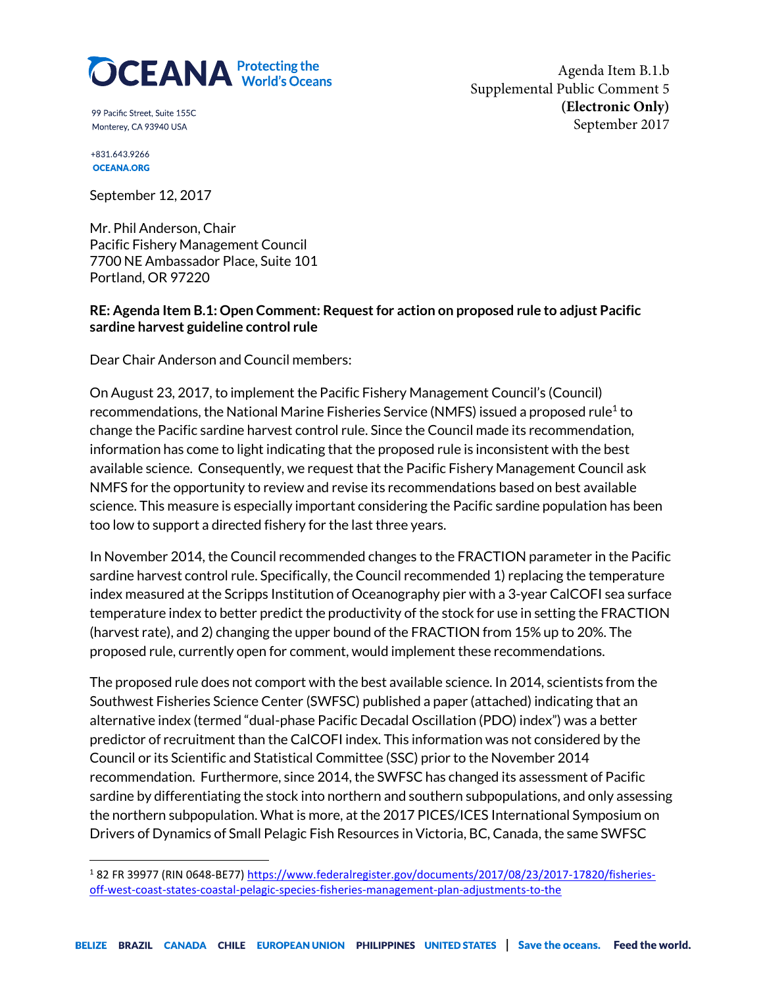

99 Pacific Street. Suite 155C Monterey, CA 93940 USA

Agenda Item B.1.b Supplemental Public Comment 5 **(Electronic Only)** September 2017

+831.643.9266 **OCEANA.ORG** 

September 12, 2017

Mr. Phil Anderson, Chair Pacific Fishery Management Council 7700 NE Ambassador Place, Suite 101 Portland, OR 97220

### **RE: Agenda Item B.1: Open Comment: Request for action on proposed rule to adjust Pacific sardine harvest guideline control rule**

Dear Chair Anderson and Council members:

On August 23, 2017, to implement the Pacific Fishery Management Council's (Council) recommendations, the National Marine Fisheries Service (NMFS) issued a proposed rule<sup>1</sup> to change the Pacific sardine harvest control rule. Since the Council made its recommendation, information has come to light indicating that the proposed rule is inconsistent with the best available science. Consequently, we request that the Pacific Fishery Management Council ask NMFS for the opportunity to review and revise its recommendations based on best available science. This measure is especially important considering the Pacific sardine population has been too low to support a directed fishery for the last three years.

In November 2014, the Council recommended changes to the FRACTION parameter in the Pacific sardine harvest control rule. Specifically, the Council recommended 1) replacing the temperature index measured at the Scripps Institution of Oceanography pier with a 3-year CalCOFI sea surface temperature index to better predict the productivity of the stock for use in setting the FRACTION (harvest rate), and 2) changing the upper bound of the FRACTION from 15% up to 20%. The proposed rule, currently open for comment, would implement these recommendations.

The proposed rule does not comport with the best available science. In 2014, scientists from the Southwest Fisheries Science Center (SWFSC) published a paper (attached) indicating that an alternative index (termed "dual-phase Pacific Decadal Oscillation (PDO) index") was a better predictor of recruitment than the CalCOFI index. This information was not considered by the Council or its Scientific and Statistical Committee (SSC) prior to the November 2014 recommendation. Furthermore, since 2014, the SWFSC has changed its assessment of Pacific sardine by differentiating the stock into northern and southern subpopulations, and only assessing the northern subpopulation. What is more, at the 2017 PICES/ICES International Symposium on Drivers of Dynamics of Small Pelagic Fish Resources in Victoria, BC, Canada, the same SWFSC

<sup>1</sup> 82 FR 39977 (RIN 0648-BE77[\) https://www.federalregister.gov/documents/2017/08/23/2017-17820/fisheries](https://www.federalregister.gov/documents/2017/08/23/2017-17820/fisheries-off-west-coast-states-coastal-pelagic-species-fisheries-management-plan-adjustments-to-the)[off-west-coast-states-coastal-pelagic-species-fisheries-management-plan-adjustments-to-the](https://www.federalregister.gov/documents/2017/08/23/2017-17820/fisheries-off-west-coast-states-coastal-pelagic-species-fisheries-management-plan-adjustments-to-the)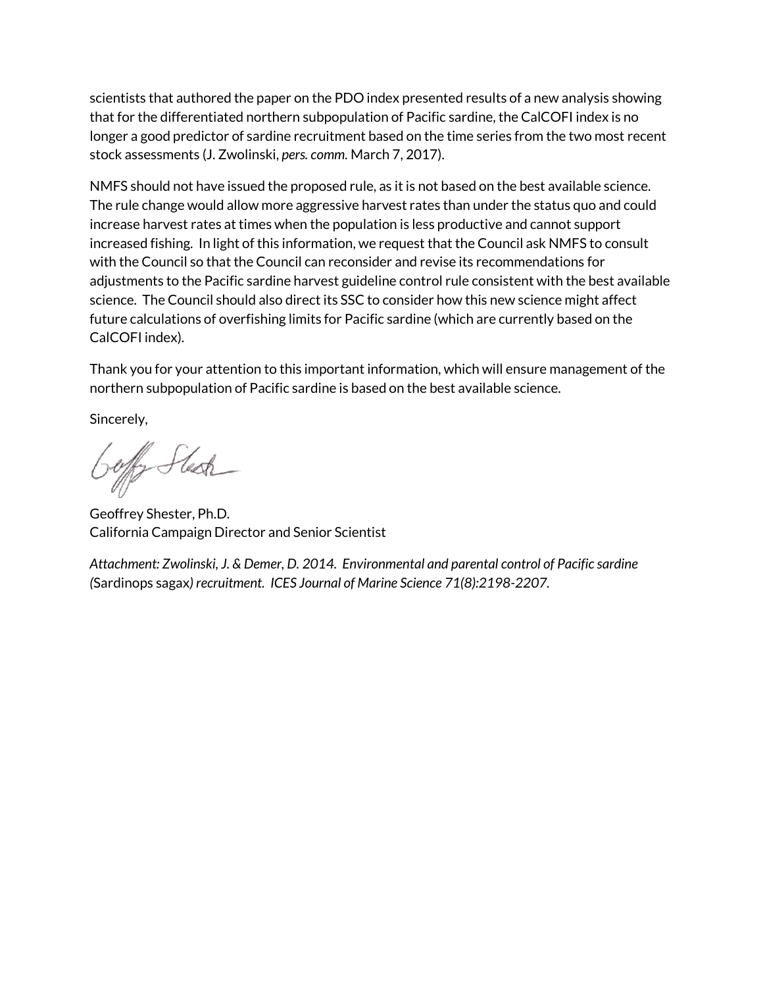scientists that authored the paper on the PDO index presented results of a new analysis showing that for the differentiated northern subpopulation of Pacific sardine, the CalCOFI index is no longer a good predictor of sardine recruitment based on the time series from the two most recent stock assessments (J. Zwolinski, *pers. comm.* March 7, 2017).

NMFS should not have issued the proposed rule, as it is not based on the best available science. The rule change would allow more aggressive harvest rates than under the status quo and could increase harvest rates at times when the population is less productive and cannot support increased fishing. In light of this information, we request that the Council ask NMFS to consult with the Council so that the Council can reconsider and revise its recommendations for adjustments to the Pacific sardine harvest guideline control rule consistent with the best available science. The Council should also direct its SSC to consider how this new science might affect future calculations of overfishing limits for Pacific sardine (which are currently based on the CalCOFI index).

Thank you for your attention to this important information, which will ensure management of the northern subpopulation of Pacific sardine is based on the best available science.

Sincerely,

Geffer Stesk

Geoffrey Shester, Ph.D. California Campaign Director and Senior Scientist

*Attachment: Zwolinski, J. & Demer, D. 2014. Environmental and parental control of Pacific sardine (*Sardinops sagax*) recruitment. ICES Journal of Marine Science 71(8):2198-2207.*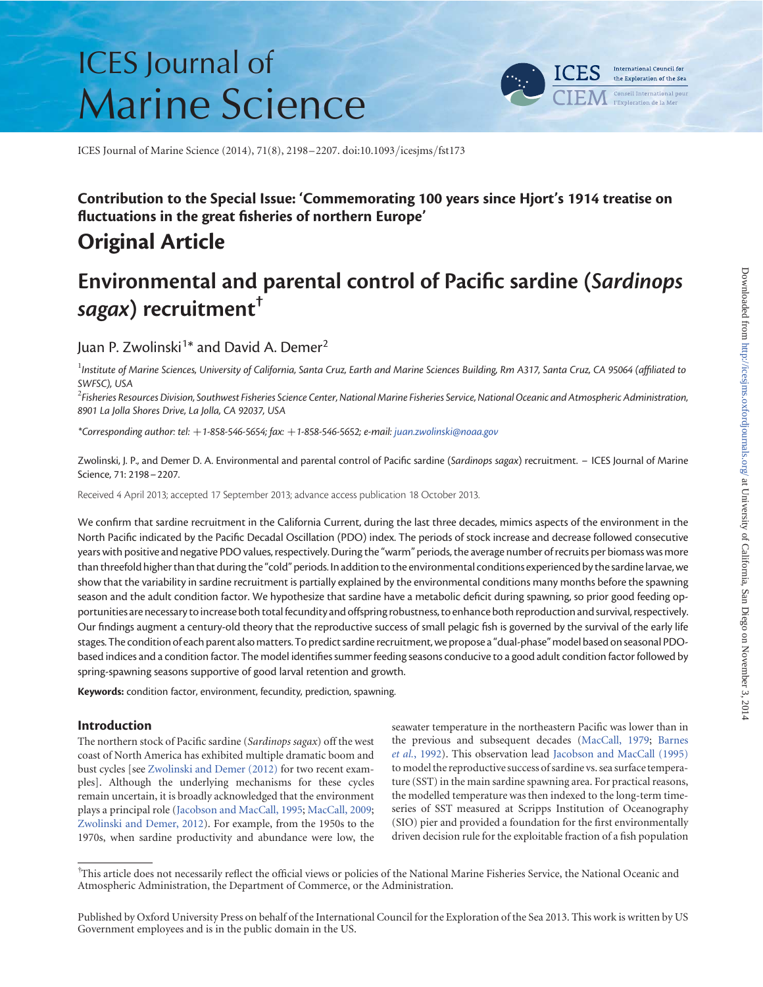# ICES Journal of Marine Science



ICES Journal of Marine Science (2014), 71(8), 2198–2207. doi:10.1093/icesjms/fst173

## Contribution to the Special Issue: 'Commemorating 100 years since Hjort's 1914 treatise on fluctuations in the great fisheries of northern Europe'

# Original Article

# Environmental and parental control of Pacific sardine (Sardinops sagax) recruitment<sup>†</sup>

## Juan P. Zwolinski<sup>1\*</sup> and David A. Demer<sup>2</sup>

 $^{\rm l}$ Institute of Marine Sciences, University of California, Santa Cruz, Earth and Marine Sciences Building, Rm A317, Santa Cruz, CA 95064 (affiliated to SWFSC), USA

 $^2$ Fisheries Resources Division, Southwest Fisheries Science Center, National Marine Fisheries Service, National Oceanic and Atmospheric Administration, 8901 La Jolla Shores Drive, La Jolla, CA 92037, USA

\*Corresponding author: tel: +1-858-546-5654; fax: +1-858-546-5652; e-mail: juan.zwolinski@noaa.gov

Zwolinski, J. P., and Demer D. A. Environmental and parental control of Pacific sardine (Sardinops sagax) recruitment. – ICES Journal of Marine Science, 71: 2198–2207.

Received 4 April 2013; accepted 17 September 2013; advance access publication 18 October 2013.

We confirm that sardine recruitment in the California Current, during the last three decades, mimics aspects of the environment in the North Pacific indicated by the Pacific Decadal Oscillation (PDO) index. The periods of stock increase and decrease followed consecutive years with positive and negative PDO values, respectively. During the "warm" periods, the average number of recruits per biomass was more than threefold higher than that during the "cold" periods. In addition to the environmental conditions experienced by the sardine larvae, we show that the variability in sardine recruitment is partially explained by the environmental conditions many months before the spawning season and the adult condition factor. We hypothesize that sardine have a metabolic deficit during spawning, so prior good feeding opportunities are necessary to increase both total fecundity and offspring robustness, to enhance both reproduction and survival, respectively. Our findings augment a century-old theory that the reproductive success of small pelagic fish is governed by the survival of the early life stages. The condition of each parent also matters. To predict sardine recruitment, we propose a "dual-phase" model based on seasonal PDObased indices and a condition factor. The model identifies summer feeding seasons conducive to a good adult condition factor followed by spring-spawning seasons supportive of good larval retention and growth.

Keywords: condition factor, environment, fecundity, prediction, spawning.

#### Introduction

The northern stock of Pacific sardine (Sardinops sagax) off the west coast of North America has exhibited multiple dramatic boom and bust cycles [see Zwolinski and Demer (2012) for two recent examples]. Although the underlying mechanisms for these cycles remain uncertain, it is broadly acknowledged that the environment plays a principal role (Jacobson and MacCall, 1995; MacCall, 2009; Zwolinski and Demer, 2012). For example, from the 1950s to the 1970s, when sardine productivity and abundance were low, the seawater temperature in the northeastern Pacific was lower than in the previous and subsequent decades (MacCall, 1979; Barnes et al., 1992). This observation lead Jacobson and MacCall (1995) to model the reproductive success of sardine vs. sea surface temperature (SST) in the main sardine spawning area. For practical reasons, the modelled temperature was then indexed to the long-term timeseries of SST measured at Scripps Institution of Oceanography (SIO) pier and provided a foundation for the first environmentally driven decision rule for the exploitable fraction of a fish population

<sup>†</sup> This article does not necessarily reflect the official views or policies of the National Marine Fisheries Service, the National Oceanic and Atmospheric Administration, the Department of Commerce, or the Administration.

Published by Oxford University Press on behalf of the International Council for the Exploration of the Sea 2013. This work is written by US Government employees and is in the public domain in the US.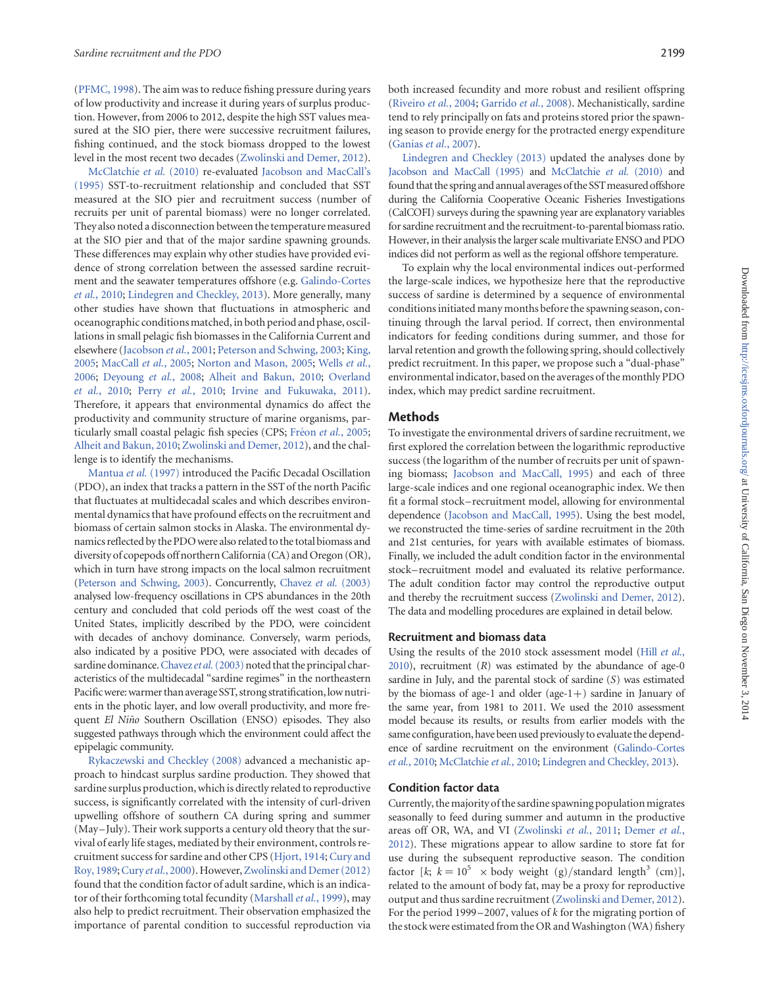(PFMC, 1998). The aim was to reduce fishing pressure during years of low productivity and increase it during years of surplus production. However, from 2006 to 2012, despite the high SST values measured at the SIO pier, there were successive recruitment failures, fishing continued, and the stock biomass dropped to the lowest level in the most recent two decades (Zwolinski and Demer, 2012).

McClatchie et al. (2010) re-evaluated Jacobson and MacCall's (1995) SST-to-recruitment relationship and concluded that SST measured at the SIO pier and recruitment success (number of recruits per unit of parental biomass) were no longer correlated. They also noted a disconnection between the temperature measured at the SIO pier and that of the major sardine spawning grounds. These differences may explain why other studies have provided evidence of strong correlation between the assessed sardine recruitment and the seawater temperatures offshore (e.g. Galindo-Cortes et al., 2010; Lindegren and Checkley, 2013). More generally, many other studies have shown that fluctuations in atmospheric and oceanographic conditions matched, in both period and phase, oscillations in small pelagic fish biomasses in the California Current and elsewhere (Jacobson et al., 2001; Peterson and Schwing, 2003; King, 2005; MacCall et al., 2005; Norton and Mason, 2005; Wells et al., 2006; Deyoung et al., 2008; Alheit and Bakun, 2010; Overland et al., 2010; Perry et al., 2010; Irvine and Fukuwaka, 2011). Therefore, it appears that environmental dynamics do affect the productivity and community structure of marine organisms, particularly small coastal pelagic fish species (CPS; Fréon et al., 2005; Alheit and Bakun, 2010; Zwolinski and Demer, 2012), and the challenge is to identify the mechanisms.

Mantua et al. (1997) introduced the Pacific Decadal Oscillation (PDO), an index that tracks a pattern in the SST of the north Pacific that fluctuates at multidecadal scales and which describes environmental dynamics that have profound effects on the recruitment and biomass of certain salmon stocks in Alaska. The environmental dynamics reflected by the PDOwere also related to the total biomass and diversity of copepods off northern California (CA) and Oregon (OR), which in turn have strong impacts on the local salmon recruitment (Peterson and Schwing, 2003). Concurrently, Chavez et al. (2003) analysed low-frequency oscillations in CPS abundances in the 20th century and concluded that cold periods off the west coast of the United States, implicitly described by the PDO, were coincident with decades of anchovy dominance. Conversely, warm periods, also indicated by a positive PDO, were associated with decades of sardine dominance. Chavez et al. (2003) noted that the principal characteristics of the multidecadal "sardine regimes" in the northeastern Pacific were: warmer than average SST, strong stratification, low nutrients in the photic layer, and low overall productivity, and more frequent El Niño Southern Oscillation (ENSO) episodes. They also suggested pathways through which the environment could affect the epipelagic community.

Rykaczewski and Checkley (2008) advanced a mechanistic approach to hindcast surplus sardine production. They showed that sardine surplus production, which is directly related to reproductive success, is significantly correlated with the intensity of curl-driven upwelling offshore of southern CA during spring and summer (May-July). Their work supports a century old theory that the survival of early life stages, mediated by their environment, controls recruitment success for sardine and other CPS (Hjort, 1914; Cury and Roy, 1989; Cury et al., 2000). However, Zwolinski and Demer (2012) found that the condition factor of adult sardine, which is an indicator of their forthcoming total fecundity (Marshall et al., 1999), may also help to predict recruitment. Their observation emphasized the importance of parental condition to successful reproduction via

both increased fecundity and more robust and resilient offspring (Riveiro et al., 2004; Garrido et al., 2008). Mechanistically, sardine tend to rely principally on fats and proteins stored prior the spawning season to provide energy for the protracted energy expenditure (Ganias et al., 2007).

Lindegren and Checkley (2013) updated the analyses done by Jacobson and MacCall (1995) and McClatchie et al. (2010) and found that the spring and annual averages of the SST measured offshore during the California Cooperative Oceanic Fisheries Investigations (CalCOFI) surveys during the spawning year are explanatory variables for sardine recruitment and the recruitment-to-parental biomass ratio. However, in their analysis the larger scale multivariate ENSO and PDO indices did not perform as well as the regional offshore temperature.

To explain why the local environmental indices out-performed the large-scale indices, we hypothesize here that the reproductive success of sardine is determined by a sequence of environmental conditions initiated many months before the spawning season, continuing through the larval period. If correct, then environmental indicators for feeding conditions during summer, and those for larval retention and growth the following spring, should collectively predict recruitment. In this paper, we propose such a "dual-phase" environmental indicator, based on the averages of the monthly PDO index, which may predict sardine recruitment.

#### Methods

To investigate the environmental drivers of sardine recruitment, we first explored the correlation between the logarithmic reproductive success (the logarithm of the number of recruits per unit of spawning biomass; Jacobson and MacCall, 1995) and each of three large-scale indices and one regional oceanographic index. We then fit a formal stock– recruitment model, allowing for environmental dependence (Jacobson and MacCall, 1995). Using the best model, we reconstructed the time-series of sardine recruitment in the 20th and 21st centuries, for years with available estimates of biomass. Finally, we included the adult condition factor in the environmental stock– recruitment model and evaluated its relative performance. The adult condition factor may control the reproductive output and thereby the recruitment success (Zwolinski and Demer, 2012). The data and modelling procedures are explained in detail below.

#### Recruitment and biomass data

Using the results of the 2010 stock assessment model (Hill et al.,  $2010$ ), recruitment  $(R)$  was estimated by the abundance of age-0 sardine in July, and the parental stock of sardine (S) was estimated by the biomass of age-1 and older (age-1+) sardine in January of the same year, from 1981 to 2011. We used the 2010 assessment model because its results, or results from earlier models with the same configuration, have been used previously to evaluate the dependence of sardine recruitment on the environment (Galindo-Cortes et al., 2010; McClatchie et al., 2010; Lindegren and Checkley, 2013).

#### Condition factor data

Currently, the majority of the sardine spawning population migrates seasonally to feed during summer and autumn in the productive areas off OR, WA, and VI (Zwolinski et al., 2011; Demer et al., 2012). These migrations appear to allow sardine to store fat for use during the subsequent reproductive season. The condition factor  $[k; k = 10^5 \times$  body weight (g)/standard length<sup>3</sup> (cm)], related to the amount of body fat, may be a proxy for reproductive output and thus sardine recruitment (Zwolinski and Demer, 2012). For the period 1999–2007, values of  $k$  for the migrating portion of the stock were estimated from the OR and Washington (WA) fishery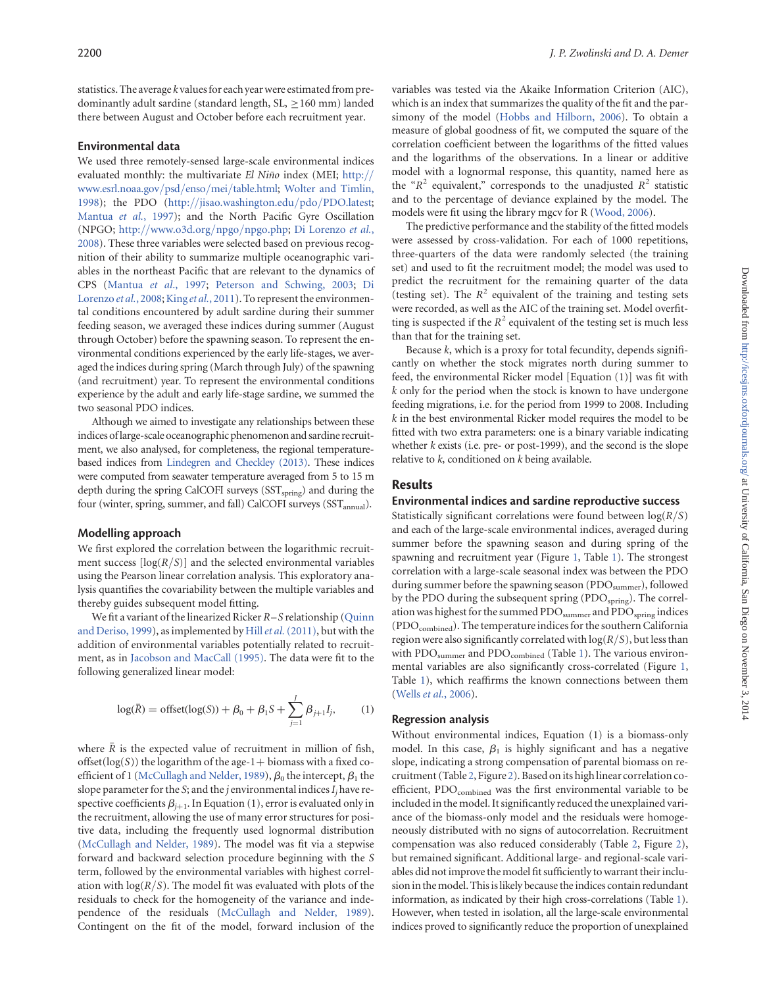statistics. The average  $k$  values for each year were estimated from predominantly adult sardine (standard length,  $SL$ ,  $\geq$  160 mm) landed there between August and October before each recruitment year.

#### Environmental data

We used three remotely-sensed large-scale environmental indices evaluated monthly: the multivariate El Niño index (MEI; http:// www.esrl.noaa.gov/psd/enso/mei/table.html; Wolter and Timlin, 1998); the PDO (http://jisao.washington.edu/pdo/PDO.latest; Mantua et al., 1997); and the North Pacific Gyre Oscillation (NPGO; http://www.o3d.org/npgo/npgo.php; Di Lorenzo et al., 2008). These three variables were selected based on previous recognition of their ability to summarize multiple oceanographic variables in the northeast Pacific that are relevant to the dynamics of CPS (Mantua et al., 1997; Peterson and Schwing, 2003; Di Lorenzo et al., 2008; King et al., 2011). To represent the environmental conditions encountered by adult sardine during their summer feeding season, we averaged these indices during summer (August through October) before the spawning season. To represent the environmental conditions experienced by the early life-stages, we averaged the indices during spring (March through July) of the spawning (and recruitment) year. To represent the environmental conditions experience by the adult and early life-stage sardine, we summed the two seasonal PDO indices.

Although we aimed to investigate any relationships between these indices oflarge-scale oceanographic phenomenon and sardine recruitment, we also analysed, for completeness, the regional temperaturebased indices from Lindegren and Checkley (2013). These indices were computed from seawater temperature averaged from 5 to 15 m depth during the spring CalCOFI surveys (SST<sub>spring</sub>) and during the four (winter, spring, summer, and fall) CalCOFI surveys (SST<sub>annual</sub>).

#### Modelling approach

We first explored the correlation between the logarithmic recruitment success  $\lfloor \log(R/S) \rfloor$  and the selected environmental variables using the Pearson linear correlation analysis. This exploratory analysis quantifies the covariability between the multiple variables and thereby guides subsequent model fitting.

We fit a variant of the linearized Ricker R–S relationship (Quinn and Deriso, 1999), as implemented by Hill et al. (2011), but with the addition of environmental variables potentially related to recruitment, as in Jacobson and MacCall (1995). The data were fit to the following generalized linear model:

$$
\log(\bar{R}) = \text{offset}(\log(S)) + \beta_0 + \beta_1 S + \sum_{j=1}^{J} \beta_{j+1} I_j,\tag{1}
$$

where  $\bar{R}$  is the expected value of recruitment in million of fish, offset( $log(S)$ ) the logarithm of the age-1+ biomass with a fixed coefficient of 1 (McCullagh and Nelder, 1989),  $\beta_0$  the intercept,  $\beta_1$  the slope parameter for the S; and the *j* environmental indices  $I_i$  have respective coefficients  $\beta_{i+1}$ . In Equation (1), error is evaluated only in the recruitment, allowing the use of many error structures for positive data, including the frequently used lognormal distribution (McCullagh and Nelder, 1989). The model was fit via a stepwise forward and backward selection procedure beginning with the S term, followed by the environmental variables with highest correlation with  $log(R/S)$ . The model fit was evaluated with plots of the residuals to check for the homogeneity of the variance and independence of the residuals (McCullagh and Nelder, 1989). Contingent on the fit of the model, forward inclusion of the

variables was tested via the Akaike Information Criterion (AIC), which is an index that summarizes the quality of the fit and the parsimony of the model (Hobbs and Hilborn, 2006). To obtain a measure of global goodness of fit, we computed the square of the correlation coefficient between the logarithms of the fitted values and the logarithms of the observations. In a linear or additive model with a lognormal response, this quantity, named here as the " $R^2$  equivalent," corresponds to the unadjusted  $R^2$  statistic and to the percentage of deviance explained by the model. The models were fit using the library mgcv for R (Wood, 2006).

The predictive performance and the stability of the fitted models were assessed by cross-validation. For each of 1000 repetitions, three-quarters of the data were randomly selected (the training set) and used to fit the recruitment model; the model was used to predict the recruitment for the remaining quarter of the data (testing set). The  $R^2$  equivalent of the training and testing sets were recorded, as well as the AIC of the training set. Model overfitting is suspected if the  $R^2$  equivalent of the testing set is much less than that for the training set.

Because  $k$ , which is a proxy for total fecundity, depends significantly on whether the stock migrates north during summer to feed, the environmental Ricker model [Equation (1)] was fit with k only for the period when the stock is known to have undergone feeding migrations, i.e. for the period from 1999 to 2008. Including  $k$  in the best environmental Ricker model requires the model to be fitted with two extra parameters: one is a binary variable indicating whether  $k$  exists (i.e. pre- or post-1999), and the second is the slope relative to  $k$ , conditioned on  $k$  being available.

#### Results

#### Environmental indices and sardine reproductive success

Statistically significant correlations were found between  $log(R/S)$ and each of the large-scale environmental indices, averaged during summer before the spawning season and during spring of the spawning and recruitment year (Figure 1, Table 1). The strongest correlation with a large-scale seasonal index was between the PDO during summer before the spawning season ( $\text{PDO}_{\text{summer}}$ ), followed by the PDO during the subsequent spring (PDO<sub>spring</sub>). The correlation was highest for the summed PDO<sub>summer</sub> and PDO<sub>spring</sub> indices (PDOcombined). The temperature indices for the southern California region were also significantly correlated with  $log(R/S)$ , but less than with  $PDO_{\text{summer}}$  and  $PDO_{\text{combined}}$  (Table 1). The various environmental variables are also significantly cross-correlated (Figure 1, Table 1), which reaffirms the known connections between them (Wells et al., 2006).

#### Regression analysis

Without environmental indices, Equation (1) is a biomass-only model. In this case,  $\beta_1$  is highly significant and has a negative slope, indicating a strong compensation of parental biomass on recruitment (Table 2, Figure 2). Based on its high linear correlation coefficient, PDO<sub>combined</sub> was the first environmental variable to be included in the model. It significantly reduced the unexplained variance of the biomass-only model and the residuals were homogeneously distributed with no signs of autocorrelation. Recruitment compensation was also reduced considerably (Table 2, Figure 2), but remained significant. Additional large- and regional-scale variables did not improve the model fit sufficiently to warrant their inclusion in themodel. Thisis likely because the indices contain redundant information, as indicated by their high cross-correlations (Table 1). However, when tested in isolation, all the large-scale environmental indices proved to significantly reduce the proportion of unexplained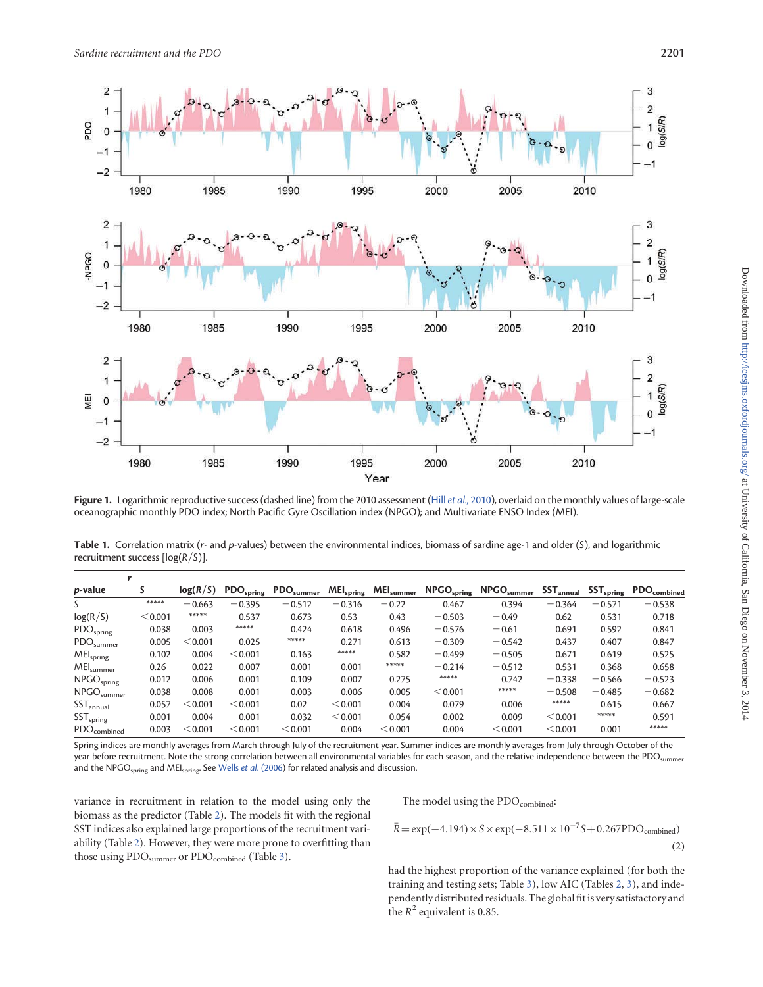

Figure 1. Logarithmic reproductive success (dashed line) from the 2010 assessment (Hill et al., 2010), overlaid on the monthly values of large-scale oceanographic monthly PDO index; North Pacific Gyre Oscillation index (NPGO); and Multivariate ENSO Index (MEI).

Table 1. Correlation matrix (r- and p-values) between the environmental indices, biomass of sardine age-1 and older (S), and logarithmic recruitment success  $[log(R/S)].$ 

| <i>p</i> -value              | S       | log(R/S) | $\text{PDO}_{\text{spring}}$ | $\text{PDO}_{\text{summer}}$ | <b>MEI</b> <sub>spring</sub> | $\mathsf{MEl}_\mathsf{sumer}$ | $NPGO_{spring}$ | $NPGO_{\text{summer}}$ | $SST_{annual}$ | $\mathsf{SST}_\mathsf{spring}$ | PDO <sub>combined</sub> |
|------------------------------|---------|----------|------------------------------|------------------------------|------------------------------|-------------------------------|-----------------|------------------------|----------------|--------------------------------|-------------------------|
| S.                           | *****   | $-0.663$ | $-0.395$                     | $-0.512$                     | $-0.316$                     | $-0.22$                       | 0.467           | 0.394                  | $-0.364$       | $-0.571$                       | $-0.538$                |
| log(R/S)                     | < 0.001 | *****    | 0.537                        | 0.673                        | 0.53                         | 0.43                          | $-0.503$        | $-0.49$                | 0.62           | 0.531                          | 0.718                   |
| PDO <sub>spring</sub>        | 0.038   | 0.003    | *****                        | 0.424                        | 0.618                        | 0.496                         | $-0.576$        | $-0.61$                | 0.691          | 0.592                          | 0.841                   |
| $\text{PDO}_{\text{summer}}$ | 0.005   | < 0.001  | 0.025                        | *****                        | 0.271                        | 0.613                         | $-0.309$        | $-0.542$               | 0.437          | 0.407                          | 0.847                   |
| MEI <sub>spring</sub>        | 0.102   | 0.004    | < 0.001                      | 0.163                        | *****                        | 0.582                         | $-0.499$        | $-0.505$               | 0.671          | 0.619                          | 0.525                   |
| $MEI_{\text{summer}}$        | 0.26    | 0.022    | 0.007                        | 0.001                        | 0.001                        | *****                         | $-0.214$        | $-0.512$               | 0.531          | 0.368                          | 0.658                   |
| NPGO <sub>spring</sub>       | 0.012   | 0.006    | 0.001                        | 0.109                        | 0.007                        | 0.275                         | *****           | 0.742                  | $-0.338$       | $-0.566$                       | $-0.523$                |
| $NPGO$ <sub>summer</sub>     | 0.038   | 0.008    | 0.001                        | 0.003                        | 0.006                        | 0.005                         | < 0.001         | *****                  | $-0.508$       | $-0.485$                       | $-0.682$                |
| $SST_{annual}$               | 0.057   | < 0.001  | < 0.001                      | 0.02                         | < 0.001                      | 0.004                         | 0.079           | 0.006                  | *****          | 0.615                          | 0.667                   |
| SST <sub>spring</sub>        | 0.001   | 0.004    | 0.001                        | 0.032                        | < 0.001                      | 0.054                         | 0.002           | 0.009                  | < 0.001        | *****                          | 0.591                   |
| <b>PDO</b> combined          | 0.003   | < 0.001  | < 0.001                      | < 0.001                      | 0.004                        | < 0.001                       | 0.004           | < 0.001                | < 0.001        | 0.001                          | *****                   |

Spring indices are monthly averages from March through July of the recruitment year. Summer indices are monthly averages from July through October of the year before recruitment. Note the strong correlation between all environmental variables for each season, and the relative independence between the PDO<sub>summer</sub> and the NPGO<sub>spring</sub> and MEI<sub>spring</sub>. See Wells et al. (2006) for related analysis and discussion.

variance in recruitment in relation to the model using only the biomass as the predictor (Table 2). The models fit with the regional SST indices also explained large proportions of the recruitment variability (Table 2). However, they were more prone to overfitting than those using PDO<sub>summer</sub> or PDO<sub>combined</sub> (Table 3).

The model using the PDO<sub>combined</sub>:

$$
\bar{R} = \exp(-4.194) \times S \times \exp(-8.511 \times 10^{-7} S + 0.267 \text{PDO}_{\text{combined}})
$$
\n(2)

had the highest proportion of the variance explained (for both the training and testing sets; Table 3), low AIC (Tables 2, 3), and independently distributed residuals. The global fit is very satisfactory and the  $R^2$  equivalent is 0.85.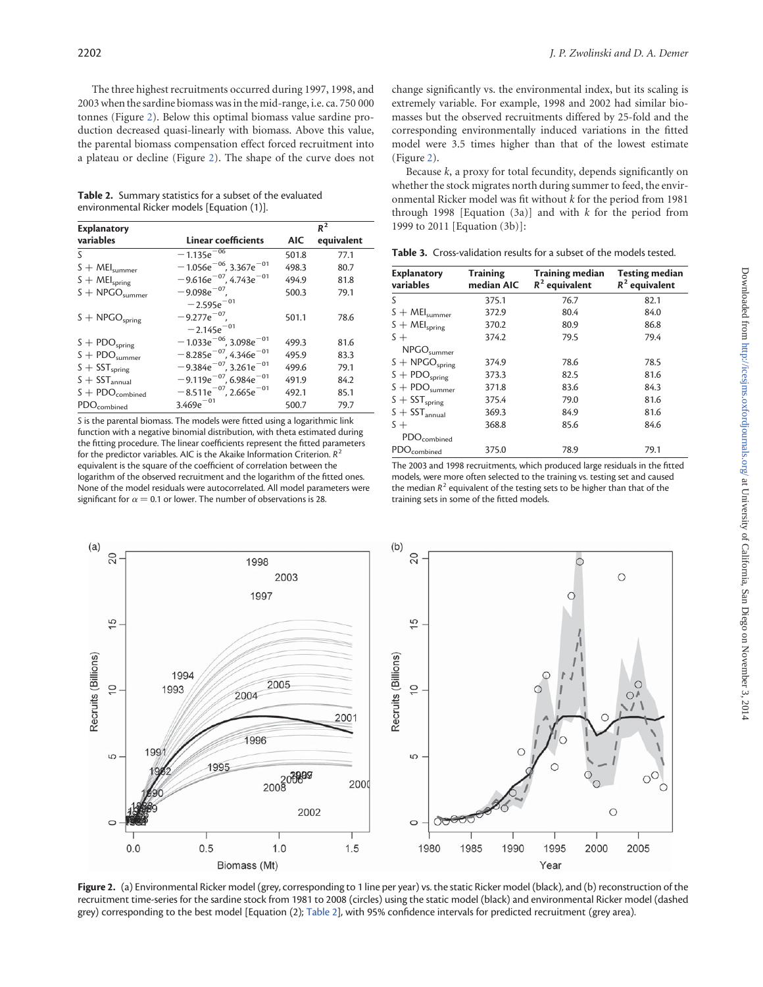The three highest recruitments occurred during 1997, 1998, and 2003 when the sardine biomass was in the mid-range, i.e. ca. 750 000 tonnes (Figure 2). Below this optimal biomass value sardine production decreased quasi-linearly with biomass. Above this value, the parental biomass compensation effect forced recruitment into a plateau or decline (Figure 2). The shape of the curve does not

Table 2. Summary statistics for a subset of the evaluated environmental Ricker models [Equation (1)].

| <b>Explanatory</b>                 |                                         |            | $R^2$      |
|------------------------------------|-----------------------------------------|------------|------------|
| variables                          | <b>Linear coefficients</b>              | <b>AIC</b> | equivalent |
| S                                  | $-1.135e^{-0.0}$                        | 501.8      | 77.1       |
| $S + MElsumer$                     | $-1.056e^{-06}$ , 3.367 $e^{-01}$       | 498.3      | 80.7       |
| $S + MEl_{spring}$                 | $-9.616e^{-07}$ , 4.743 $e^{-01}$       | 494.9      | 81.8       |
| $S + \text{NPGO}_{\text{summer}}$  | $-9.098e^{-07}$                         | 500.3      | 79.1       |
|                                    | $-2.595e^{-01}$                         |            |            |
| $S + \text{NPGO}_{spring}$         | $-9.277e^{-07}$ .                       | 501.1      | 78.6       |
|                                    | $-2.145e^{-01}$                         |            |            |
| $S + \text{PDO}_{spring}$          | $-1.033e^{-06}$ , 3.098 $e^{-01}$       | 499.3      | 81.6       |
| $S + PDO$ <sub>summer</sub>        | $-8.285e^{-07}$ , 4.346 $e^{-01}$       | 495.9      | 83.3       |
| $S + SST_{spring}$                 | $-9.384e^{-07}$ , 3.261e <sup>-01</sup> | 499.6      | 79.1       |
| $S + SST_{annual}$                 | $-9.119e^{-07}$ , 6.984 $e^{-01}$       | 491.9      | 84.2       |
| $S + \text{PDO}_{\text{combined}}$ | $-8.511e^{-07}$ , 2.665 $e^{-01}$       | 492.1      | 85.1       |
| $\mathsf{PDO}_\mathsf{combined}$   | $3.469e^{-01}$                          | 500.7      | 79.7       |

S is the parental biomass. The models were fitted using a logarithmic link function with a negative binomial distribution, with theta estimated during the fitting procedure. The linear coefficients represent the fitted parameters for the predictor variables. AIC is the Akaike Information Criterion.  $R^2$ equivalent is the square of the coefficient of correlation between the logarithm of the observed recruitment and the logarithm of the fitted ones. None of the model residuals were autocorrelated. All model parameters were significant for  $\alpha = 0.1$  or lower. The number of observations is 28.

change significantly vs. the environmental index, but its scaling is extremely variable. For example, 1998 and 2002 had similar biomasses but the observed recruitments differed by 25-fold and the corresponding environmentally induced variations in the fitted model were 3.5 times higher than that of the lowest estimate (Figure 2).

Because  $k$ , a proxy for total fecundity, depends significantly on whether the stock migrates north during summer to feed, the environmental Ricker model was fit without k for the period from 1981 through 1998 [Equation  $(3a)$ ] and with k for the period from 1999 to 2011 [Equation (3b)]:

Table 3. Cross-validation results for a subset of the models tested.

| <b>Explanatory</b><br>variables | <b>Training</b><br>median AIC | <b>Training median</b><br>$R^2$ equivalent | <b>Testing median</b><br>$R^2$ equivalent |
|---------------------------------|-------------------------------|--------------------------------------------|-------------------------------------------|
| S                               | 375.1                         | 76.7                                       | 82.1                                      |
| $S + MElsumer$                  | 372.9                         | 80.4                                       | 84.0                                      |
| $S + MEl_{spring}$              | 370.2                         | 80.9                                       | 86.8                                      |
| $S +$                           | 374.2                         | 79.5                                       | 79.4                                      |
| NPGO <sub>summer</sub>          |                               |                                            |                                           |
| $S + \text{NPGO}_{spring}$      | 374.9                         | 78.6                                       | 78.5                                      |
| $S + PDO_{spring}$              | 373.3                         | 82.5                                       | 81.6                                      |
| $S + PDOsumer$                  | 371.8                         | 83.6                                       | 84.3                                      |
| $S + SST_{spring}$              | 375.4                         | 79.0                                       | 81.6                                      |
| $S + SST_{annual}$              | 369.3                         | 84.9                                       | 81.6                                      |
| $S +$                           | 368.8                         | 85.6                                       | 84.6                                      |
| $\text{PDO}_\text{combined}$    |                               |                                            |                                           |
| PDO <sub>combined</sub>         | 375.0                         | 78.9                                       | 79.1                                      |

The 2003 and 1998 recruitments, which produced large residuals in the fitted models, were more often selected to the training vs. testing set and caused the median  $R^2$  equivalent of the testing sets to be higher than that of the training sets in some of the fitted models.



Figure 2. (a) Environmental Ricker model (grey, corresponding to 1 line per year) vs. the static Ricker model (black), and (b) reconstruction of the recruitment time-series for the sardine stock from 1981 to 2008 (circles) using the static model (black) and environmental Ricker model (dashed grey) corresponding to the best model [Equation (2); Table 2], with 95% confidence intervals for predicted recruitment (grey area).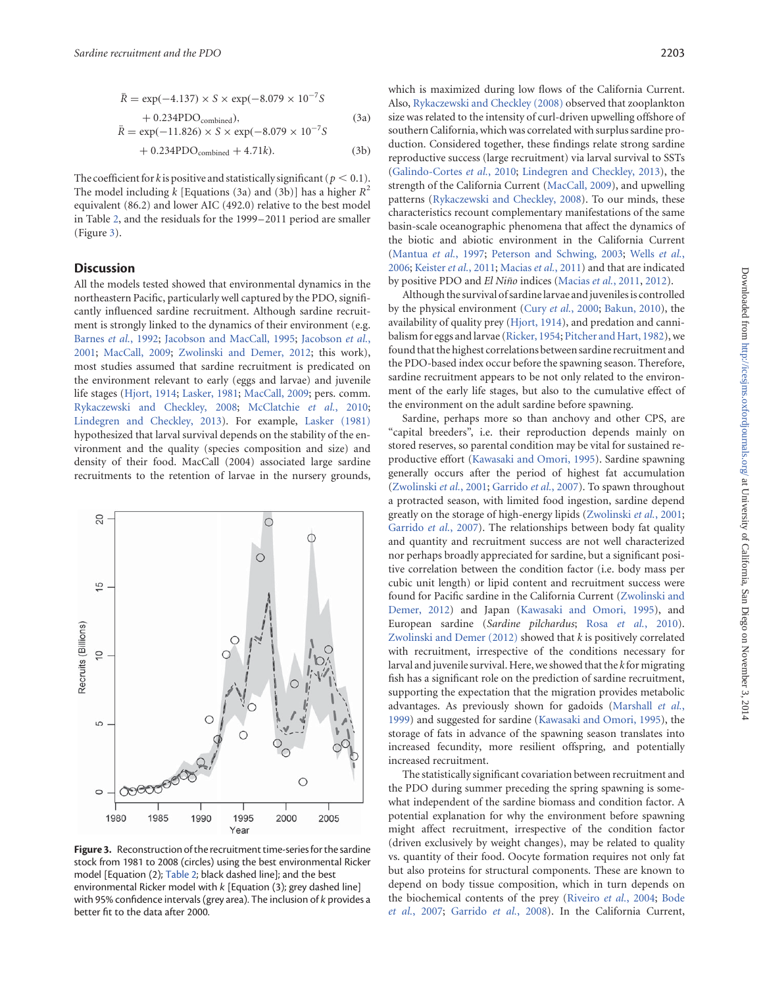$$
\bar{R} = \exp(-4.137) \times S \times \exp(-8.079 \times 10^{-7} S \n+ 0.234 \text{PDO}_{\text{combined}}),
$$
\n(3a)  
\n
$$
\bar{R} = \exp(-11.826) \times S \times \exp(-8.079 \times 10^{-7} S \n+ 0.234 \text{PDO}_{\text{combined}} + 4.71 k).
$$
\n(3b)

The coefficient for k is positive and statistically significant ( $p < 0.1$ ). The model including k [Equations (3a) and (3b)] has a higher  $R^2$ equivalent (86.2) and lower AIC (492.0) relative to the best model in Table 2, and the residuals for the 1999–2011 period are smaller (Figure 3).

#### **Discussion**

All the models tested showed that environmental dynamics in the northeastern Pacific, particularly well captured by the PDO, significantly influenced sardine recruitment. Although sardine recruitment is strongly linked to the dynamics of their environment (e.g. Barnes et al., 1992; Jacobson and MacCall, 1995; Jacobson et al., 2001; MacCall, 2009; Zwolinski and Demer, 2012; this work), most studies assumed that sardine recruitment is predicated on the environment relevant to early (eggs and larvae) and juvenile life stages (Hjort, 1914; Lasker, 1981; MacCall, 2009; pers. comm. Rykaczewski and Checkley, 2008; McClatchie et al., 2010; Lindegren and Checkley, 2013). For example, Lasker (1981) hypothesized that larval survival depends on the stability of the environment and the quality (species composition and size) and density of their food. MacCall (2004) associated large sardine recruitments to the retention of larvae in the nursery grounds,



Figure 3. Reconstruction of the recruitment time-series for the sardine stock from 1981 to 2008 (circles) using the best environmental Ricker model [Equation (2); Table 2; black dashed line]; and the best environmental Ricker model with k [Equation (3); grey dashed line] with 95% confidence intervals (grey area). The inclusion of k provides a better fit to the data after 2000.

which is maximized during low flows of the California Current. Also, Rykaczewski and Checkley (2008) observed that zooplankton size was related to the intensity of curl-driven upwelling offshore of southern California, which was correlated with surplus sardine production. Considered together, these findings relate strong sardine reproductive success (large recruitment) via larval survival to SSTs (Galindo-Cortes et al., 2010; Lindegren and Checkley, 2013), the strength of the California Current (MacCall, 2009), and upwelling patterns (Rykaczewski and Checkley, 2008). To our minds, these characteristics recount complementary manifestations of the same basin-scale oceanographic phenomena that affect the dynamics of the biotic and abiotic environment in the California Current (Mantua et al., 1997; Peterson and Schwing, 2003; Wells et al., 2006; Keister et al., 2011; Macias et al., 2011) and that are indicated by positive PDO and El Niño indices (Macias et al., 2011, 2012).

Although the survival of sardine larvae and juveniles is controlled by the physical environment (Cury et al., 2000; Bakun, 2010), the availability of quality prey (Hjort, 1914), and predation and cannibalism for eggs and larvae (Ricker, 1954; Pitcher and Hart, 1982), we found that the highest correlations between sardine recruitment and the PDO-based index occur before the spawning season. Therefore, sardine recruitment appears to be not only related to the environment of the early life stages, but also to the cumulative effect of the environment on the adult sardine before spawning.

Sardine, perhaps more so than anchovy and other CPS, are "capital breeders", i.e. their reproduction depends mainly on stored reserves, so parental condition may be vital for sustained reproductive effort (Kawasaki and Omori, 1995). Sardine spawning generally occurs after the period of highest fat accumulation (Zwolinski et al., 2001; Garrido et al., 2007). To spawn throughout a protracted season, with limited food ingestion, sardine depend greatly on the storage of high-energy lipids (Zwolinski et al., 2001; Garrido et al., 2007). The relationships between body fat quality and quantity and recruitment success are not well characterized nor perhaps broadly appreciated for sardine, but a significant positive correlation between the condition factor (i.e. body mass per cubic unit length) or lipid content and recruitment success were found for Pacific sardine in the California Current (Zwolinski and Demer, 2012) and Japan (Kawasaki and Omori, 1995), and European sardine (Sardine pilchardus; Rosa et al., 2010). Zwolinski and Demer  $(2012)$  showed that  $k$  is positively correlated with recruitment, irrespective of the conditions necessary for larval and juvenile survival. Here, we showed that the  $k$  for migrating fish has a significant role on the prediction of sardine recruitment, supporting the expectation that the migration provides metabolic advantages. As previously shown for gadoids (Marshall et al., 1999) and suggested for sardine (Kawasaki and Omori, 1995), the storage of fats in advance of the spawning season translates into increased fecundity, more resilient offspring, and potentially increased recruitment.

The statistically significant covariation between recruitment and the PDO during summer preceding the spring spawning is somewhat independent of the sardine biomass and condition factor. A potential explanation for why the environment before spawning might affect recruitment, irrespective of the condition factor (driven exclusively by weight changes), may be related to quality vs. quantity of their food. Oocyte formation requires not only fat but also proteins for structural components. These are known to depend on body tissue composition, which in turn depends on the biochemical contents of the prey (Riveiro et al., 2004; Bode et al., 2007; Garrido et al., 2008). In the California Current,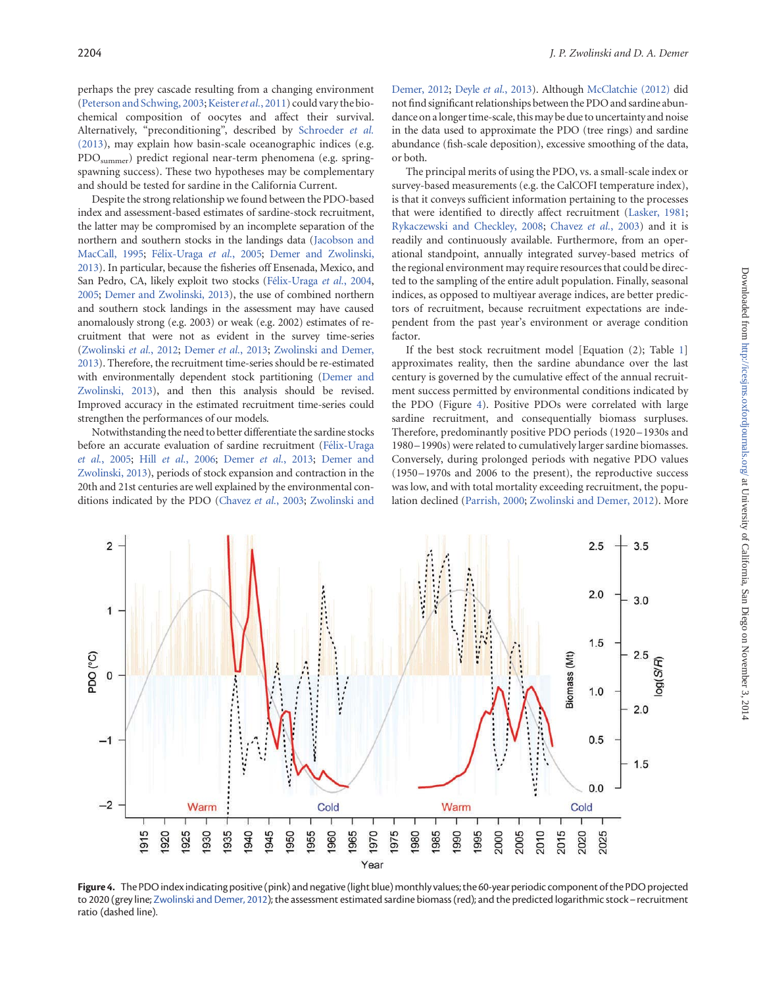perhaps the prey cascade resulting from a changing environment (Peterson and Schwing, 2003; Keister et al., 2011) could vary the biochemical composition of oocytes and affect their survival. Alternatively, "preconditioning", described by Schroeder et al. (2013), may explain how basin-scale oceanographic indices (e.g. PDOsummer) predict regional near-term phenomena (e.g. springspawning success). These two hypotheses may be complementary and should be tested for sardine in the California Current.

Despite the strong relationship we found between the PDO-based index and assessment-based estimates of sardine-stock recruitment, the latter may be compromised by an incomplete separation of the northern and southern stocks in the landings data (Jacobson and MacCall, 1995; Félix-Uraga et al., 2005; Demer and Zwolinski, 2013). In particular, because the fisheries off Ensenada, Mexico, and San Pedro, CA, likely exploit two stocks (Félix-Uraga et al., 2004, 2005; Demer and Zwolinski, 2013), the use of combined northern and southern stock landings in the assessment may have caused anomalously strong (e.g. 2003) or weak (e.g. 2002) estimates of recruitment that were not as evident in the survey time-series (Zwolinski et al., 2012; Demer et al., 2013; Zwolinski and Demer, 2013). Therefore, the recruitment time-series should be re-estimated with environmentally dependent stock partitioning (Demer and Zwolinski, 2013), and then this analysis should be revised. Improved accuracy in the estimated recruitment time-series could strengthen the performances of our models.

Notwithstanding the need to better differentiate the sardine stocks before an accurate evaluation of sardine recruitment (Félix-Uraga et al., 2005; Hill et al., 2006; Demer et al., 2013; Demer and Zwolinski, 2013), periods of stock expansion and contraction in the 20th and 21st centuries are well explained by the environmental conditions indicated by the PDO (Chavez et al., 2003; Zwolinski and

Demer, 2012; Deyle et al., 2013). Although McClatchie (2012) did not find significant relationships between the PDO and sardine abundance on a longer time-scale, thismay be due to uncertainty and noise in the data used to approximate the PDO (tree rings) and sardine abundance (fish-scale deposition), excessive smoothing of the data, or both.

The principal merits of using the PDO, vs. a small-scale index or survey-based measurements (e.g. the CalCOFI temperature index), is that it conveys sufficient information pertaining to the processes that were identified to directly affect recruitment (Lasker, 1981; Rykaczewski and Checkley, 2008; Chavez et al., 2003) and it is readily and continuously available. Furthermore, from an operational standpoint, annually integrated survey-based metrics of the regional environment may require resources that could be directed to the sampling of the entire adult population. Finally, seasonal indices, as opposed to multiyear average indices, are better predictors of recruitment, because recruitment expectations are independent from the past year's environment or average condition factor.

If the best stock recruitment model [Equation (2); Table 1] approximates reality, then the sardine abundance over the last century is governed by the cumulative effect of the annual recruitment success permitted by environmental conditions indicated by the PDO (Figure 4). Positive PDOs were correlated with large sardine recruitment, and consequentially biomass surpluses. Therefore, predominantly positive PDO periods (1920–1930s and 1980–1990s) were related to cumulatively larger sardine biomasses. Conversely, during prolonged periods with negative PDO values (1950–1970s and 2006 to the present), the reproductive success was low, and with total mortality exceeding recruitment, the population declined (Parrish, 2000; Zwolinski and Demer, 2012). More



Figure 4. The PDO index indicating positive (pink) and negative (light blue) monthly values; the 60-year periodic component of the PDO projected to 2020 (grey line; Zwolinski and Demer, 2012); the assessment estimated sardine biomass (red); and the predicted logarithmic stock– recruitment ratio (dashed line).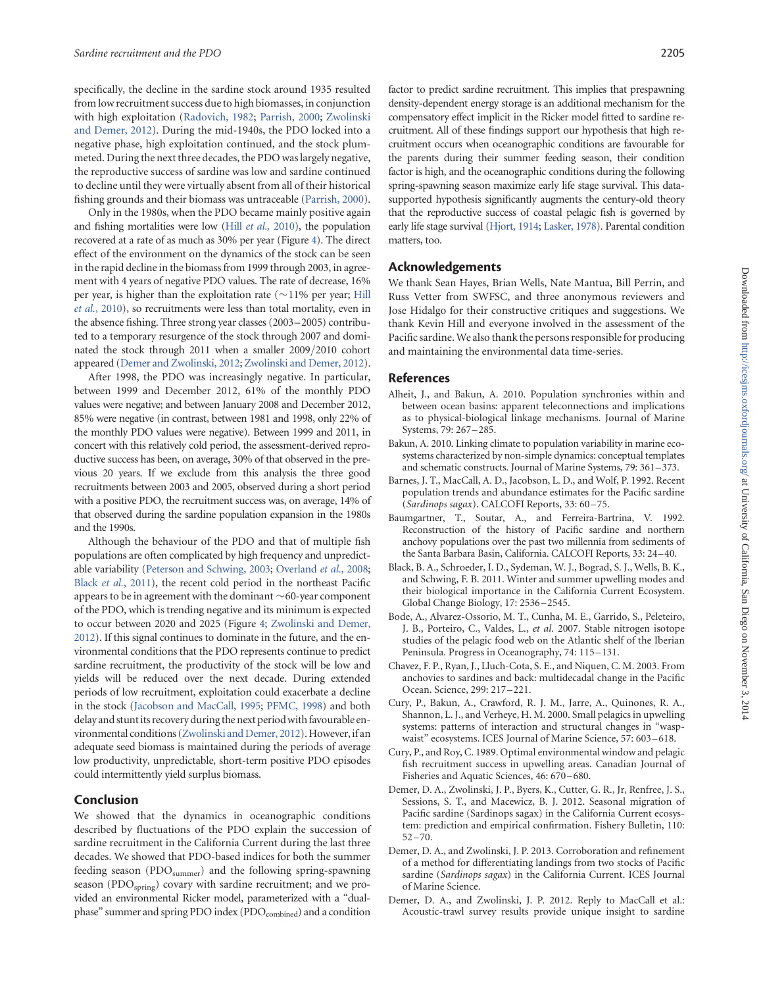specifically, the decline in the sardine stock around 1935 resulted from low recruitment success due to high biomasses, in conjunction with high exploitation (Radovich, 1982; Parrish, 2000; Zwolinski and Demer, 2012). During the mid-1940s, the PDO locked into a negative phase, high exploitation continued, and the stock plummeted. During the next three decades, the PDO was largely negative, the reproductive success of sardine was low and sardine continued to decline until they were virtually absent from all of their historical fishing grounds and their biomass was untraceable (Parrish, 2000).

Only in the 1980s, when the PDO became mainly positive again and fishing mortalities were low (Hill et al., 2010), the population recovered at a rate of as much as 30% per year (Figure 4). The direct effect of the environment on the dynamics of the stock can be seen in the rapid decline in the biomass from 1999 through 2003, in agreement with 4 years of negative PDO values. The rate of decrease, 16% per year, is higher than the exploitation rate ( $\sim$ 11% per year; Hill et al., 2010), so recruitments were less than total mortality, even in the absence fishing. Three strong year classes (2003–2005) contributed to a temporary resurgence of the stock through 2007 and dominated the stock through 2011 when a smaller 2009/2010 cohort appeared (Demer and Zwolinski, 2012; Zwolinski and Demer, 2012).

After 1998, the PDO was increasingly negative. In particular, between 1999 and December 2012, 61% of the monthly PDO values were negative; and between January 2008 and December 2012, 85% were negative (in contrast, between 1981 and 1998, only 22% of the monthly PDO values were negative). Between 1999 and 2011, in concert with this relatively cold period, the assessment-derived reproductive success has been, on average, 30% of that observed in the previous 20 years. If we exclude from this analysis the three good recruitments between 2003 and 2005, observed during a short period with a positive PDO, the recruitment success was, on average, 14% of that observed during the sardine population expansion in the 1980s and the 1990s.

Although the behaviour of the PDO and that of multiple fish populations are often complicated by high frequency and unpredictable variability (Peterson and Schwing, 2003; Overland et al., 2008; Black et al., 2011), the recent cold period in the northeast Pacific appears to be in agreement with the dominant  $\sim$  60-year component of the PDO, which is trending negative and its minimum is expected to occur between 2020 and 2025 (Figure 4; Zwolinski and Demer, 2012). If this signal continues to dominate in the future, and the environmental conditions that the PDO represents continue to predict sardine recruitment, the productivity of the stock will be low and yields will be reduced over the next decade. During extended periods of low recruitment, exploitation could exacerbate a decline in the stock (Jacobson and MacCall, 1995; PFMC, 1998) and both delay and stunt its recovery during the next period with favourable environmental conditions (Zwolinski and Demer, 2012). However, if an adequate seed biomass is maintained during the periods of average low productivity, unpredictable, short-term positive PDO episodes could intermittently yield surplus biomass.

#### Conclusion

We showed that the dynamics in oceanographic conditions described by fluctuations of the PDO explain the succession of sardine recruitment in the California Current during the last three decades. We showed that PDO-based indices for both the summer feeding season (PDO<sub>summer</sub>) and the following spring-spawning season (PDO<sub>spring</sub>) covary with sardine recruitment; and we provided an environmental Ricker model, parameterized with a "dualphase" summer and spring PDO index (PDO<sub>combined</sub>) and a condition

factor to predict sardine recruitment. This implies that prespawning density-dependent energy storage is an additional mechanism for the compensatory effect implicit in the Ricker model fitted to sardine recruitment. All of these findings support our hypothesis that high recruitment occurs when oceanographic conditions are favourable for the parents during their summer feeding season, their condition factor is high, and the oceanographic conditions during the following spring-spawning season maximize early life stage survival. This datasupported hypothesis significantly augments the century-old theory that the reproductive success of coastal pelagic fish is governed by early life stage survival (Hjort, 1914; Lasker, 1978). Parental condition matters, too.

#### Acknowledgements

We thank Sean Hayes, Brian Wells, Nate Mantua, Bill Perrin, and Russ Vetter from SWFSC, and three anonymous reviewers and Jose Hidalgo for their constructive critiques and suggestions. We thank Kevin Hill and everyone involved in the assessment of the Pacific sardine. We also thank the persons responsible for producing and maintaining the environmental data time-series.

#### References

- Alheit, J., and Bakun, A. 2010. Population synchronies within and between ocean basins: apparent teleconnections and implications as to physical-biological linkage mechanisms. Journal of Marine Systems, 79: 267–285.
- Bakun, A. 2010. Linking climate to population variability in marine ecosystems characterized by non-simple dynamics: conceptual templates and schematic constructs. Journal of Marine Systems, 79: 361–373.
- Barnes, J. T., MacCall, A. D., Jacobson, L. D., and Wolf, P. 1992. Recent population trends and abundance estimates for the Pacific sardine (Sardinops sagax). CALCOFI Reports, 33: 60–75.
- Baumgartner, T., Soutar, A., and Ferreira-Bartrina, V. 1992. Reconstruction of the history of Pacific sardine and northern anchovy populations over the past two millennia from sediments of the Santa Barbara Basin, California. CALCOFI Reports, 33: 24–40.
- Black, B. A., Schroeder, I. D., Sydeman, W. J., Bograd, S. J., Wells, B. K., and Schwing, F. B. 2011. Winter and summer upwelling modes and their biological importance in the California Current Ecosystem. Global Change Biology, 17: 2536–2545.
- Bode, A., Alvarez-Ossorio, M. T., Cunha, M. E., Garrido, S., Peleteiro, J. B., Porteiro, C., Valdes, L., et al. 2007. Stable nitrogen isotope studies of the pelagic food web on the Atlantic shelf of the Iberian Peninsula. Progress in Oceanography, 74: 115–131.
- Chavez, F. P., Ryan, J., Lluch-Cota, S. E., and Niquen, C. M. 2003. From anchovies to sardines and back: multidecadal change in the Pacific Ocean. Science, 299: 217 –221.
- Cury, P., Bakun, A., Crawford, R. J. M., Jarre, A., Quinones, R. A., Shannon, L. J., and Verheye, H. M. 2000. Small pelagics in upwelling systems: patterns of interaction and structural changes in "waspwaist" ecosystems. ICES Journal of Marine Science, 57: 603-618.
- Cury, P., and Roy, C. 1989. Optimal environmental window and pelagic fish recruitment success in upwelling areas. Canadian Journal of Fisheries and Aquatic Sciences, 46: 670–680.
- Demer, D. A., Zwolinski, J. P., Byers, K., Cutter, G. R., Jr, Renfree, J. S., Sessions, S. T., and Macewicz, B. J. 2012. Seasonal migration of Pacific sardine (Sardinops sagax) in the California Current ecosystem: prediction and empirical confirmation. Fishery Bulletin, 110:  $52 - 70.$
- Demer, D. A., and Zwolinski, J. P. 2013. Corroboration and refinement of a method for differentiating landings from two stocks of Pacific sardine (Sardinops sagax) in the California Current. ICES Journal of Marine Science.
- Demer, D. A., and Zwolinski, J. P. 2012. Reply to MacCall et al.: Acoustic-trawl survey results provide unique insight to sardine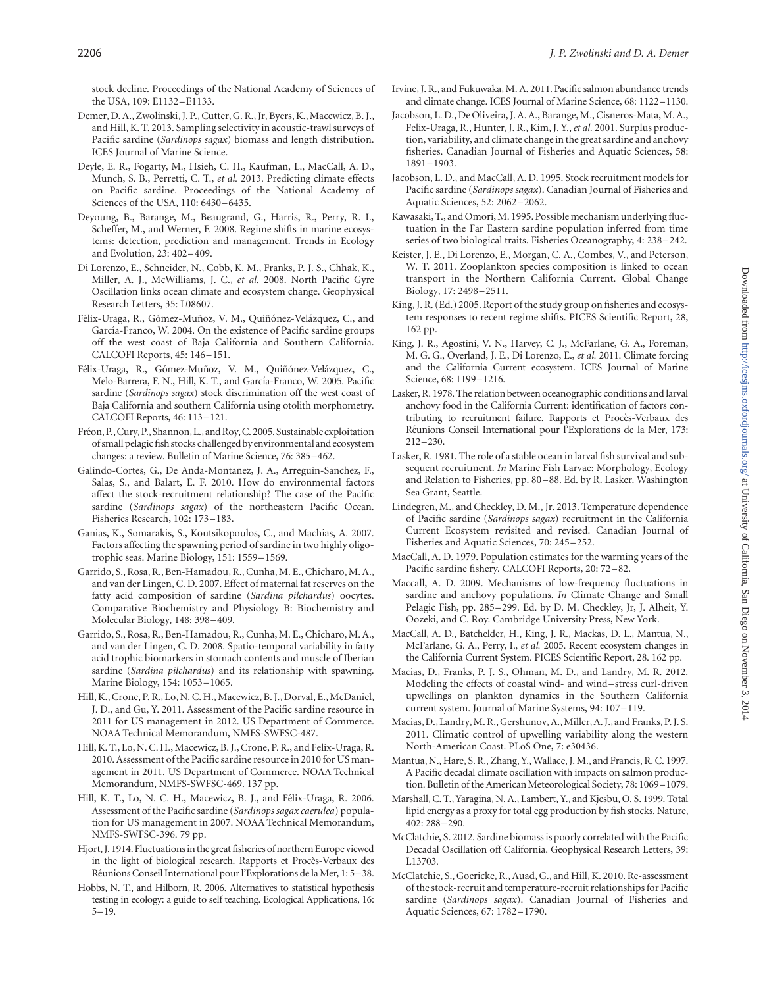stock decline. Proceedings of the National Academy of Sciences of the USA, 109: E1132–E1133.

- Demer, D. A., Zwolinski, J. P., Cutter, G. R., Jr, Byers, K., Macewicz, B. J., and Hill, K. T. 2013. Sampling selectivity in acoustic-trawl surveys of Pacific sardine (Sardinops sagax) biomass and length distribution. ICES Journal of Marine Science.
- Deyle, E. R., Fogarty, M., Hsieh, C. H., Kaufman, L., MacCall, A. D., Munch, S. B., Perretti, C. T., et al. 2013. Predicting climate effects on Pacific sardine. Proceedings of the National Academy of Sciences of the USA, 110: 6430–6435.
- Deyoung, B., Barange, M., Beaugrand, G., Harris, R., Perry, R. I., Scheffer, M., and Werner, F. 2008. Regime shifts in marine ecosystems: detection, prediction and management. Trends in Ecology and Evolution, 23: 402–409.
- Di Lorenzo, E., Schneider, N., Cobb, K. M., Franks, P. J. S., Chhak, K., Miller, A. J., McWilliams, J. C., et al. 2008. North Pacific Gyre Oscillation links ocean climate and ecosystem change. Geophysical Research Letters, 35: L08607.
- Félix-Uraga, R., Gómez-Muñoz, V. M., Quiñónez-Velázquez, C., and García-Franco, W. 2004. On the existence of Pacific sardine groups off the west coast of Baja California and Southern California. CALCOFI Reports, 45: 146–151.
- Félix-Uraga, R., Gómez-Muñoz, V. M., Quiñónez-Velázquez, C., Melo-Barrera, F. N., Hill, K. T., and García-Franco, W. 2005. Pacific sardine (Sardinops sagax) stock discrimination off the west coast of Baja California and southern California using otolith morphometry. CALCOFI Reports, 46: 113–121.
- Fréon, P., Cury, P., Shannon, L., and Roy, C. 2005. Sustainable exploitation of small pelagic fish stocks challenged byenvironmentaland ecosystem changes: a review. Bulletin of Marine Science, 76: 385–462.
- Galindo-Cortes, G., De Anda-Montanez, J. A., Arreguin-Sanchez, F., Salas, S., and Balart, E. F. 2010. How do environmental factors affect the stock-recruitment relationship? The case of the Pacific sardine (Sardinops sagax) of the northeastern Pacific Ocean. Fisheries Research, 102: 173–183.
- Ganias, K., Somarakis, S., Koutsikopoulos, C., and Machias, A. 2007. Factors affecting the spawning period of sardine in two highly oligotrophic seas. Marine Biology, 151: 1559–1569.
- Garrido, S., Rosa, R., Ben-Hamadou, R., Cunha, M. E., Chicharo, M. A., and van der Lingen, C. D. 2007. Effect of maternal fat reserves on the fatty acid composition of sardine (Sardina pilchardus) oocytes. Comparative Biochemistry and Physiology B: Biochemistry and Molecular Biology, 148: 398–409.
- Garrido, S., Rosa, R., Ben-Hamadou, R., Cunha, M. E., Chicharo, M. A., and van der Lingen, C. D. 2008. Spatio-temporal variability in fatty acid trophic biomarkers in stomach contents and muscle of Iberian sardine (Sardina pilchardus) and its relationship with spawning. Marine Biology, 154: 1053 –1065.
- Hill, K., Crone, P. R., Lo, N. C. H., Macewicz, B. J., Dorval, E., McDaniel, J. D., and Gu, Y. 2011. Assessment of the Pacific sardine resource in 2011 for US management in 2012. US Department of Commerce. NOAA Technical Memorandum, NMFS-SWFSC-487.
- Hill, K. T., Lo, N. C. H., Macewicz, B. J., Crone, P. R., and Felix-Uraga, R. 2010. Assessment of the Pacific sardine resource in 2010 for US management in 2011. US Department of Commerce. NOAA Technical Memorandum, NMFS-SWFSC-469. 137 pp.
- Hill, K. T., Lo, N. C. H., Macewicz, B. J., and Félix-Uraga, R. 2006. Assessment of the Pacific sardine (Sardinops sagax caerulea) population for US management in 2007. NOAA Technical Memorandum, NMFS-SWFSC-396. 79 pp.
- Hjort, J. 1914. Fluctuationsin the great fisheries of northern Europe viewed in the light of biological research. Rapports et Procès-Verbaux des Réunions Conseil International pour l'Explorations de la Mer, 1: 5–38.
- Hobbs, N. T., and Hilborn, R. 2006. Alternatives to statistical hypothesis testing in ecology: a guide to self teaching. Ecological Applications, 16: 5–19.
- Irvine, J. R., and Fukuwaka, M. A. 2011. Pacific salmon abundance trends and climate change. ICES Journal of Marine Science, 68: 1122–1130.
- Jacobson, L. D., De Oliveira, J. A. A., Barange, M., Cisneros-Mata, M. A., Felix-Uraga, R., Hunter, J. R., Kim, J. Y., et al. 2001. Surplus production, variability, and climate change in the great sardine and anchovy fisheries. Canadian Journal of Fisheries and Aquatic Sciences, 58: 1891–1903.
- Jacobson, L. D., and MacCall, A. D. 1995. Stock recruitment models for Pacific sardine (Sardinops sagax). Canadian Journal of Fisheries and Aquatic Sciences, 52: 2062–2062.
- Kawasaki, T., and Omori, M. 1995. Possible mechanism underlying fluctuation in the Far Eastern sardine population inferred from time series of two biological traits. Fisheries Oceanography, 4: 238–242.
- Keister, J. E., Di Lorenzo, E., Morgan, C. A., Combes, V., and Peterson, W. T. 2011. Zooplankton species composition is linked to ocean transport in the Northern California Current. Global Change Biology, 17: 2498–2511.
- King, J. R. (Ed.) 2005. Report of the study group on fisheries and ecosystem responses to recent regime shifts. PICES Scientific Report, 28, 162 pp.
- King, J. R., Agostini, V. N., Harvey, C. J., McFarlane, G. A., Foreman, M. G. G., Overland, J. E., Di Lorenzo, E., et al. 2011. Climate forcing and the California Current ecosystem. ICES Journal of Marine Science, 68: 1199–1216.
- Lasker, R. 1978. The relation between oceanographic conditions and larval anchovy food in the California Current: identification of factors contributing to recruitment failure. Rapports et Procès-Verbaux des Réunions Conseil International pour l'Explorations de la Mer, 173: 212–230.
- Lasker, R. 1981. The role of a stable ocean in larval fish survival and subsequent recruitment. In Marine Fish Larvae: Morphology, Ecology and Relation to Fisheries, pp. 80 –88. Ed. by R. Lasker. Washington Sea Grant, Seattle.
- Lindegren, M., and Checkley, D. M., Jr. 2013. Temperature dependence of Pacific sardine (Sardinops sagax) recruitment in the California Current Ecosystem revisited and revised. Canadian Journal of Fisheries and Aquatic Sciences, 70: 245–252.
- MacCall, A. D. 1979. Population estimates for the warming years of the Pacific sardine fishery. CALCOFI Reports, 20: 72 –82.
- Maccall, A. D. 2009. Mechanisms of low-frequency fluctuations in sardine and anchovy populations. In Climate Change and Small Pelagic Fish, pp. 285–299. Ed. by D. M. Checkley, Jr, J. Alheit, Y. Oozeki, and C. Roy. Cambridge University Press, New York.
- MacCall, A. D., Batchelder, H., King, J. R., Mackas, D. L., Mantua, N., McFarlane, G. A., Perry, I., et al. 2005. Recent ecosystem changes in the California Current System. PICES Scientific Report, 28. 162 pp.
- Macias, D., Franks, P. J. S., Ohman, M. D., and Landry, M. R. 2012. Modeling the effects of coastal wind- and wind– stress curl-driven upwellings on plankton dynamics in the Southern California current system. Journal of Marine Systems, 94: 107–119.
- Macias, D., Landry, M. R., Gershunov, A., Miller, A. J., and Franks, P. J. S. 2011. Climatic control of upwelling variability along the western North-American Coast. PLoS One, 7: e30436.
- Mantua, N., Hare, S. R., Zhang, Y.,Wallace, J. M., and Francis, R. C. 1997. A Pacific decadal climate oscillation with impacts on salmon production. Bulletin of the American Meteorological Society, 78: 1069–1079.
- Marshall, C. T., Yaragina, N. A., Lambert, Y., and Kjesbu, O. S. 1999. Total lipid energy as a proxy for total egg production by fish stocks. Nature, 402: 288–290.
- McClatchie, S. 2012. Sardine biomass is poorly correlated with the Pacific Decadal Oscillation off California. Geophysical Research Letters, 39: L13703.
- McClatchie, S., Goericke, R., Auad, G., and Hill, K. 2010. Re-assessment of the stock-recruit and temperature-recruit relationships for Pacific sardine (Sardinops sagax). Canadian Journal of Fisheries and Aquatic Sciences, 67: 1782–1790.